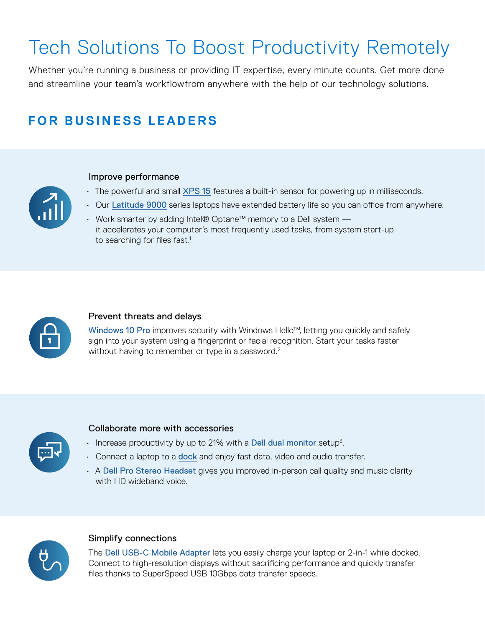# Tech Solutions To Boost Productivity Remotely

Whether you're running a business or providing IT expertise, every minute counts. Get more done and streamline your team's workflowfrom anywhere with the help of our technology solutions.

## **FOR BUSINESS LEADERS**

### Improve performance

- The powerful and small [XPS 15](https://www.dell.com/en-us/work/shop/dell-laptops-and-notebooks/new-xps-15-laptop/spd/xps-15-9500-laptop) features a built-in sensor for powering up in milliseconds.
- Our [Latitude 9000](https://www.dell.com/en-us/work/shop/dell-laptops-and-notebooks/new-latitude-9510-laptop-or-2-in-1/spd/latitude-15-9510-2-in-1-laptop) series laptops have extended battery life so you can office from anywhere.
- Work smarter by adding Intel® Optane<sup>™</sup> memory to a Dell system  $$ it accelerates your computer's most frequently used tasks, from system start-up to searching for files fast.<sup>1</sup>



### Prevent threats and delays

[Windows 10 Pro](https://www.dell.com/en-us/work/shop/windows-for-business/cp/windows-for-business) improves security with Windows Hello<sup>™</sup>, letting you quickly and safely sign into your system using a fingerprint or facial recognition. Start your tasks faster without having to remember or type in a password.<sup>2</sup>



### Collaborate more with accessories

- $\cdot$  Increase productivity by up to 21% with a **[Dell dual monitor](https://www.delltechnologies.com/en-us/monitors-for-work/index.htm#)** setup<sup>3</sup>.
- Connect a laptop to a **[dock](https://www.dell.com/en-us/work/shop/docks-and-stands/ar/8407?appliedRefinements=31439)** and enjoy fast data, video and audio transfer.
- A [Dell Pro Stereo Headset](https://www.dell.com/en-us/work/shop/accessories/apd/750-aavn) gives you improved in-person call quality and music clarity with HD wideband voice



### Simplify connections

The **[Dell USB-C Mobile Adapter](https://www.dell.com/en-us/shop/accessories/apd/470-acwn?gacd=9694607-1006-5761040-0-0&dgc=st&gclid=Cj0KCQjwl4v4BRDaARIsAFjATPngTFT7BO9UDiooDUatEXi2Cbpgz_yCvrpxEDCGIHgwfgs0syXkOEsaAjMoEALw_wcB&gclsrc=aw.ds)** lets you easily charge your laptop or 2-in-1 while docked. Connect to high-resolution displays without sacrificing performance and quickly transfer files thanks to SuperSpeed USB 10Gbps data transfer speeds.